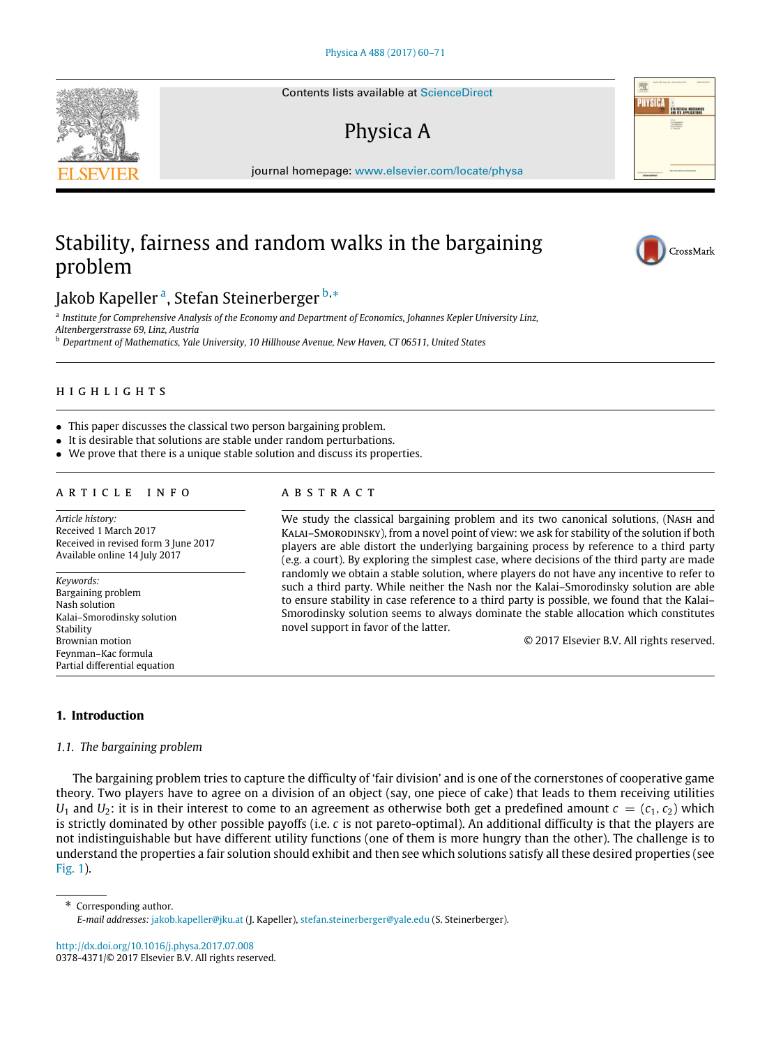Contents lists available at [ScienceDirect](http://www.elsevier.com/locate/physa)

# Physica A

journal homepage: [www.elsevier.com/locate/physa](http://www.elsevier.com/locate/physa)

# Stability, fairness and random walks in the bargaining problem

J[a](#page-0-0)kob Kapeller <sup>a</sup>, Stefan Steinerberger <sup>[b,](#page-0-1)</sup>[\\*](#page-0-2)

<span id="page-0-0"></span>a *Institute for Comprehensive Analysis of the Economy and Department of Economics, Johannes Kepler University Linz,*

*Altenbergerstrasse 69, Linz, Austria*

<span id="page-0-1"></span><sup>b</sup> *Department of Mathematics, Yale University, 10 Hillhouse Avenue, New Haven, CT 06511, United States*

# h i g h l i g h t s

- This paper discusses the classical two person bargaining problem.
- It is desirable that solutions are stable under random perturbations.
- We prove that there is a unique stable solution and discuss its properties.

## a r t i c l e i n f o

*Article history:* Received 1 March 2017 Received in revised form 3 June 2017 Available online 14 July 2017

*Keywords:* Bargaining problem Nash solution Kalai–Smorodinsky solution Stability Brownian motion Feynman–Kac formula Partial differential equation

# a b s t r a c t

We study the classical bargaining problem and its two canonical solutions, (Nash and Kalai–Smorodinsky), from a novel point of view: we ask for stability of the solution if both players are able distort the underlying bargaining process by reference to a third party (e.g. a court). By exploring the simplest case, where decisions of the third party are made randomly we obtain a stable solution, where players do not have any incentive to refer to such a third party. While neither the Nash nor the Kalai–Smorodinsky solution are able to ensure stability in case reference to a third party is possible, we found that the Kalai– Smorodinsky solution seems to always dominate the stable allocation which constitutes novel support in favor of the latter.

© 2017 Elsevier B.V. All rights reserved.

# **1. Introduction**

## *1.1. The bargaining problem*

The bargaining problem tries to capture the difficulty of 'fair division' and is one of the cornerstones of cooperative game theory. Two players have to agree on a division of an object (say, one piece of cake) that leads to them receiving utilities *U*<sub>1</sub> and *U*<sub>2</sub>: it is in their interest to come to an agreement as otherwise both get a predefined amount  $c = (c_1, c_2)$  which is strictly dominated by other possible payoffs (i.e. *c* is not pareto-optimal). An additional difficulty is that the players are not indistinguishable but have different utility functions (one of them is more hungry than the other). The challenge is to understand the properties a fair solution should exhibit and then see which solutions satisfy all these desired properties (see [Fig. 1\)](#page-1-0).

<span id="page-0-2"></span>\* Corresponding author. *E-mail addresses:* [jakob.kapeller@jku.at](mailto:jakob.kapeller@jku.at) (J. Kapeller), [stefan.steinerberger@yale.edu](mailto:stefan.steinerberger@yale.edu) (S. Steinerberger).

<http://dx.doi.org/10.1016/j.physa.2017.07.008> 0378-4371/© 2017 Elsevier B.V. All rights reserved.

<span id="page-0-3"></span>



CrossMark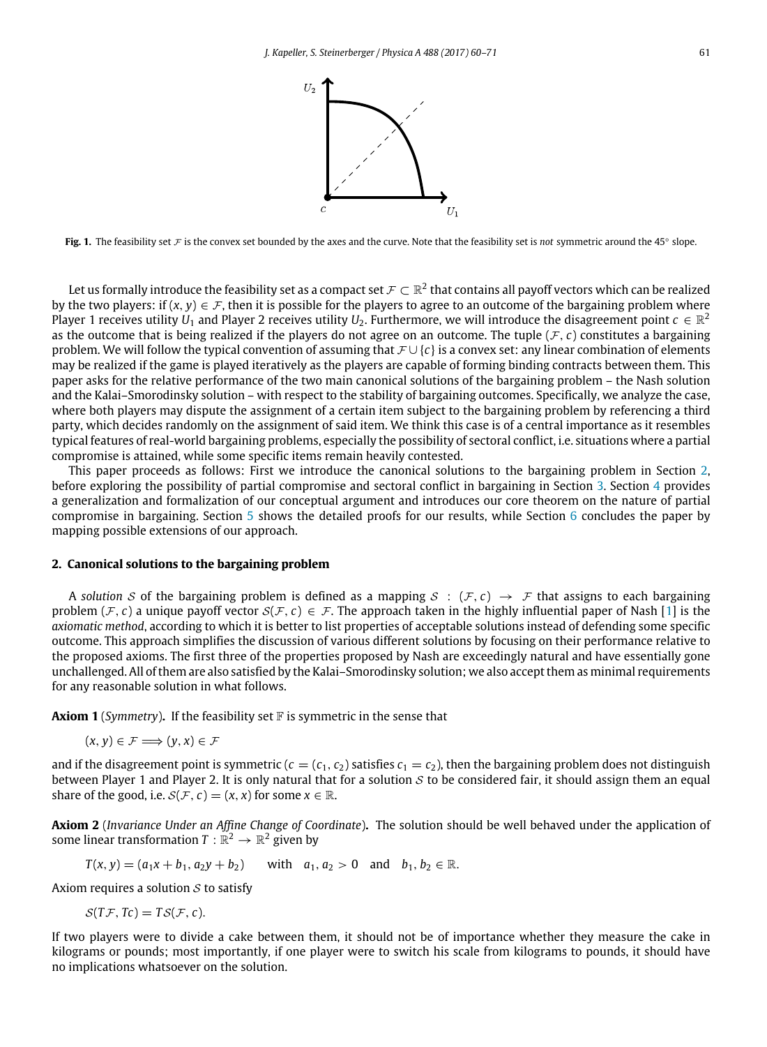

<span id="page-1-0"></span>Fig. 1. The feasibility set F is the convex set bounded by the axes and the curve. Note that the feasibility set is *not* symmetric around the 45° slope.

Let us formally introduce the feasibility set as a compact set  $\mathcal{F}\subset\mathbb{R}^2$  that contains all payoff vectors which can be realized by the two players: if  $(x, y) \in \mathcal{F}$ , then it is possible for the players to agree to an outcome of the bargaining problem where Player 1 receives utility  $U_1$  and Player 2 receives utility  $U_2$ . Furthermore, we will introduce the disagreement point  $c\in\mathbb{R}^2$ as the outcome that is being realized if the players do not agree on an outcome. The tuple  $(F, c)$  constitutes a bargaining problem. We will follow the typical convention of assuming that  $\mathcal{F} \cup \{c\}$  is a convex set: any linear combination of elements may be realized if the game is played iteratively as the players are capable of forming binding contracts between them. This paper asks for the relative performance of the two main canonical solutions of the bargaining problem – the Nash solution and the Kalai–Smorodinsky solution – with respect to the stability of bargaining outcomes. Specifically, we analyze the case, where both players may dispute the assignment of a certain item subject to the bargaining problem by referencing a third party, which decides randomly on the assignment of said item. We think this case is of a central importance as it resembles typical features of real-world bargaining problems, especially the possibility of sectoral conflict, i.e. situations where a partial compromise is attained, while some specific items remain heavily contested.

This paper proceeds as follows: First we introduce the canonical solutions to the bargaining problem in Section [2,](#page-1-1) before exploring the possibility of partial compromise and sectoral conflict in bargaining in Section [3.](#page-3-0) Section [4](#page-5-0) provides a generalization and formalization of our conceptual argument and introduces our core theorem on the nature of partial compromise in bargaining. Section [5](#page-7-0) shows the detailed proofs for our results, while Section [6](#page-9-0) concludes the paper by mapping possible extensions of our approach.

#### <span id="page-1-1"></span>**2. Canonical solutions to the bargaining problem**

A solution S of the bargaining problem is defined as a mapping  $S : (\mathcal{F}, c) \to \mathcal{F}$  that assigns to each bargaining problem  $(F, c)$  a unique payoff vector  $S(F, c) \in F$ . The approach taken in the highly influential paper of Nash [\[1\]](#page-11-0) is the *axiomatic method*, according to which it is better to list properties of acceptable solutions instead of defending some specific outcome. This approach simplifies the discussion of various different solutions by focusing on their performance relative to the proposed axioms. The first three of the properties proposed by Nash are exceedingly natural and have essentially gone unchallenged. All of them are also satisfied by the Kalai–Smorodinsky solution; we also accept them as minimal requirements for any reasonable solution in what follows.

<span id="page-1-2"></span>**Axiom 1** (*Symmetry*). If the feasibility set  $\mathbb F$  is symmetric in the sense that

$$
(x, y) \in \mathcal{F} \Longrightarrow (y, x) \in \mathcal{F}
$$

and if the disagreement point is symmetric  $(c = (c_1, c_2)$  satisfies  $c_1 = c_2$ ), then the bargaining problem does not distinguish between Player 1 and Player 2. It is only natural that for a solution  $S$  to be considered fair, it should assign them an equal share of the good, i.e.  $S(F, c) = (x, x)$  for some  $x \in \mathbb{R}$ .

<span id="page-1-3"></span>**Axiom 2** (*Invariance Under an Affine Change of Coordinate*)**.** The solution should be well behaved under the application of some linear transformation  $T: \mathbb{R}^2 \to \mathbb{R}^2$  given by

$$
T(x, y) = (a_1x + b_1, a_2y + b_2)
$$
 with  $a_1, a_2 > 0$  and  $b_1, b_2 \in \mathbb{R}$ .

Axiom requires a solution  $S$  to satisfy

 $S(TF, Tc) = TS(F, c).$ 

If two players were to divide a cake between them, it should not be of importance whether they measure the cake in kilograms or pounds; most importantly, if one player were to switch his scale from kilograms to pounds, it should have no implications whatsoever on the solution.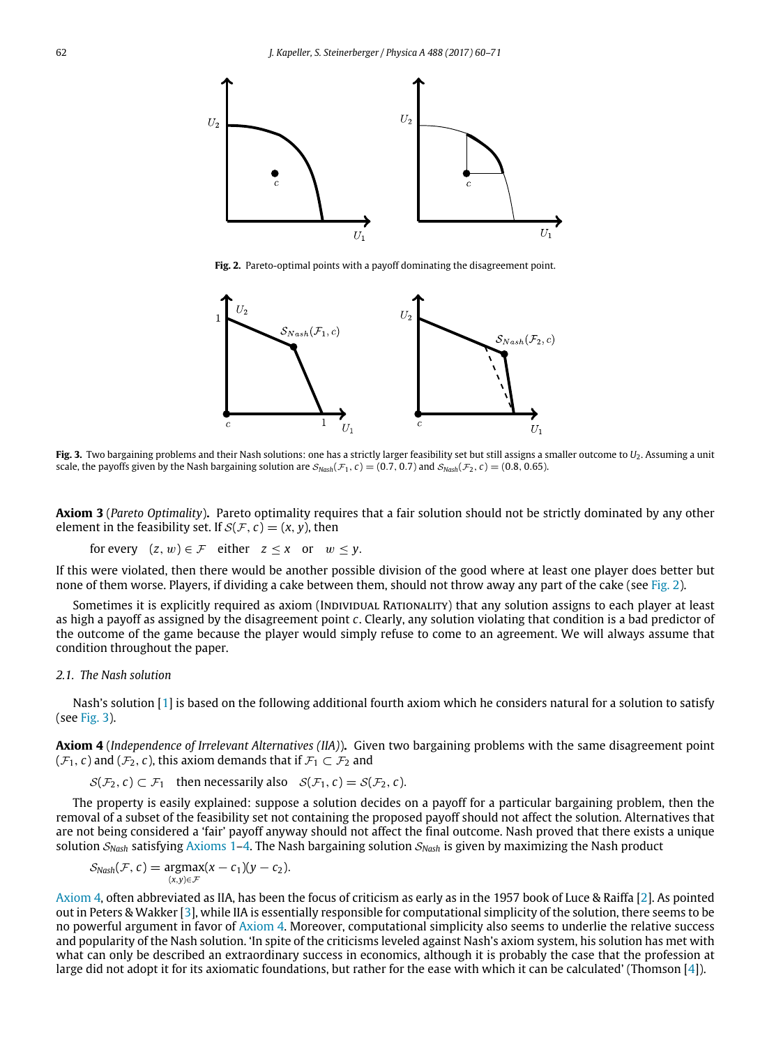<span id="page-2-0"></span>

**Fig. 2.** Pareto-optimal points with a payoff dominating the disagreement point.

<span id="page-2-1"></span>

**Fig. 3.** Two bargaining problems and their Nash solutions: one has a strictly larger feasibility set but still assigns a smaller outcome to *U*2. Assuming a unit scale, the payoffs given by the Nash bargaining solution are  $S_{Nash}(\mathcal{F}_1, c) = (0.7, 0.7)$  and  $S_{Nash}(\mathcal{F}_2, c) = (0.8, 0.65)$ .

**Axiom 3** (*Pareto Optimality*)**.** Pareto optimality requires that a fair solution should not be strictly dominated by any other element in the feasibility set. If  $S(F, c) = (x, y)$ , then

for every  $(z, w) \in \mathcal{F}$  either  $z \le x$  or  $w \le y$ .

If this were violated, then there would be another possible division of the good where at least one player does better but none of them worse. Players, if dividing a cake between them, should not throw away any part of the cake (see [Fig. 2\)](#page-2-0).

Sometimes it is explicitly required as axiom (INDIVIDUAL RATIONALITY) that any solution assigns to each player at least as high a payoff as assigned by the disagreement point *c*. Clearly, any solution violating that condition is a bad predictor of the outcome of the game because the player would simply refuse to come to an agreement. We will always assume that condition throughout the paper.

#### *2.1. The Nash solution*

Nash's solution [\[1\]](#page-11-0) is based on the following additional fourth axiom which he considers natural for a solution to satisfy (see [Fig. 3\)](#page-2-1).

<span id="page-2-2"></span>**Axiom 4** (*Independence of Irrelevant Alternatives (IIA)*)**.** Given two bargaining problems with the same disagreement point  $(\mathcal{F}_1, c)$  and  $(\mathcal{F}_2, c)$ , this axiom demands that if  $\mathcal{F}_1 \subset \mathcal{F}_2$  and

 $S(\mathcal{F}_2, c) \subset \mathcal{F}_1$  then necessarily also  $S(\mathcal{F}_1, c) = S(\mathcal{F}_2, c)$ .

The property is easily explained: suppose a solution decides on a payoff for a particular bargaining problem, then the removal of a subset of the feasibility set not containing the proposed payoff should not affect the solution. Alternatives that are not being considered a 'fair' payoff anyway should not affect the final outcome. Nash proved that there exists a unique solution S*Nash* satisfying [Axioms 1–](#page-1-2)[4.](#page-2-2) The Nash bargaining solution S*Nash* is given by maximizing the Nash product

$$
S_{Nash}(\mathcal{F}, c) = \underset{(x,y)\in\mathcal{F}}{\operatorname{argmax}}(x - c_1)(y - c_2).
$$

[Axiom 4,](#page-2-2) often abbreviated as IIA, has been the focus of criticism as early as in the 1957 book of Luce & Raiffa [\[2\]](#page-11-1). As pointed out in Peters & Wakker [\[3\]](#page-11-2), while IIA is essentially responsible for computational simplicity of the solution, there seems to be no powerful argument in favor of [Axiom 4.](#page-2-2) Moreover, computational simplicity also seems to underlie the relative success and popularity of the Nash solution. 'In spite of the criticisms leveled against Nash's axiom system, his solution has met with what can only be described an extraordinary success in economics, although it is probably the case that the profession at large did not adopt it for its axiomatic foundations, but rather for the ease with which it can be calculated' (Thomson [\[4\]](#page-11-3)).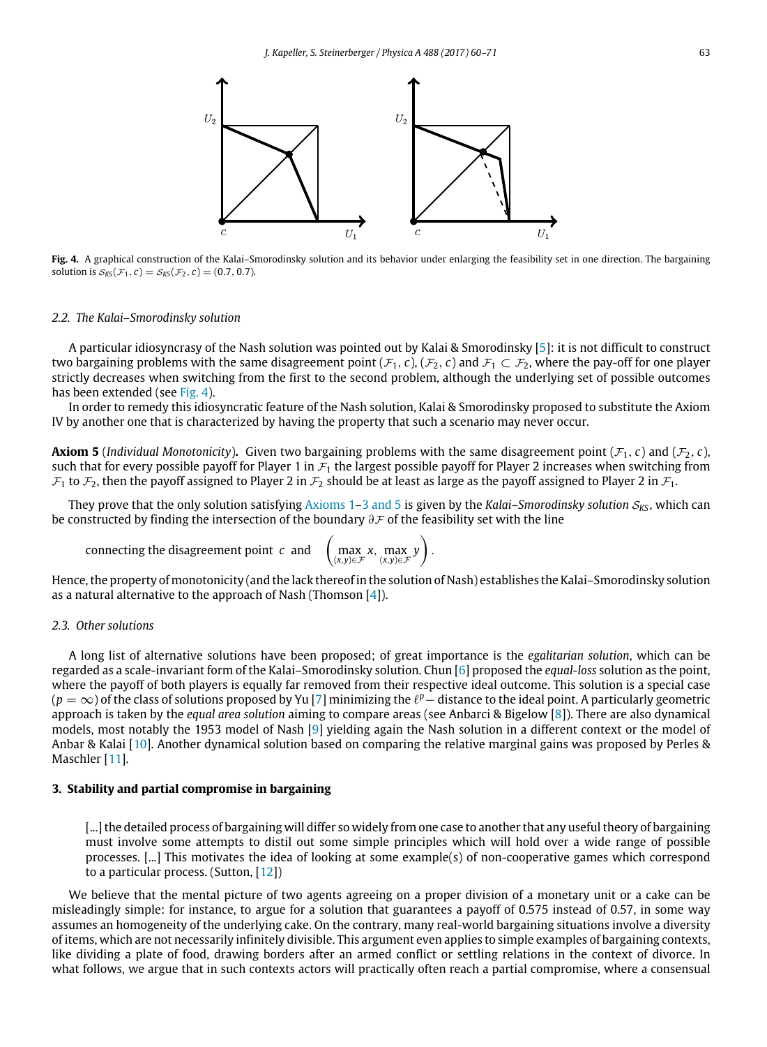<span id="page-3-1"></span>

**Fig. 4.** A graphical construction of the Kalai–Smorodinsky solution and its behavior under enlarging the feasibility set in one direction. The bargaining solution is  $S_{\text{KS}}(\mathcal{F}_1, c) = S_{\text{KS}}(\mathcal{F}_2, c) = (0.7, 0.7)$ .

#### *2.2. The Kalai–Smorodinsky solution*

A particular idiosyncrasy of the Nash solution was pointed out by Kalai & Smorodinsky [\[5\]](#page-11-4): it is not difficult to construct two bargaining problems with the same disagreement point ( $\mathcal{F}_1$ , *c*), ( $\mathcal{F}_2$ , *c*) and  $\mathcal{F}_1 \subset \mathcal{F}_2$ , where the pay-off for one player strictly decreases when switching from the first to the second problem, although the underlying set of possible outcomes has been extended (see [Fig. 4\)](#page-3-1).

In order to remedy this idiosyncratic feature of the Nash solution, Kalai & Smorodinsky proposed to substitute the Axiom IV by another one that is characterized by having the property that such a scenario may never occur.

<span id="page-3-2"></span>**Axiom 5** (*Individual Monotonicity*). Given two bargaining problems with the same disagreement point ( $F_1$ , *c*) and ( $F_2$ , *c*), such that for every possible payoff for Player 1 in  $\mathcal{F}_1$  the largest possible payoff for Player 2 increases when switching from  $\mathcal{F}_1$  to  $\mathcal{F}_2$ , then the payoff assigned to Player 2 in  $\mathcal{F}_2$  should be at least as large as the payoff assigned to Player 2 in  $\mathcal{F}_1$ .

They prove that the only solution satisfying [Axioms 1](#page-1-2)[–3](#page-0-3) [and](#page-0-3) [5](#page-0-3) is given by the *Kalai–Smorodinsky solution*  $S_{K5}$ , which can be constructed by finding the intersection of the boundary ∂F of the feasibility set with the line

connecting the disagreement point *<sup>c</sup>* and (

$$
\left(\max_{(x,y)\in\mathcal{F}} x, \max_{(x,y)\in\mathcal{F}} y\right).
$$

Hence, the property of monotonicity (and the lack thereof in the solution of Nash) establishes the Kalai–Smorodinsky solution as a natural alternative to the approach of Nash (Thomson [\[4\]](#page-11-3)).

#### *2.3. Other solutions*

A long list of alternative solutions have been proposed; of great importance is the *egalitarian solution*, which can be regarded as a scale-invariant form of the Kalai–Smorodinsky solution. Chun [\[6\]](#page-11-5) proposed the *equal-loss* solution as the point, where the payoff of both players is equally far removed from their respective ideal outcome. This solution is a special case ( $p=\infty$ ) of the class of solutions proposed by Yu [\[7\]](#page-11-6) minimizing the  $\ell^p-$  distance to the ideal point. A particularly geometric approach is taken by the *equal area solution* aiming to compare areas (see Anbarci & Bigelow [\[8\]](#page-11-7)). There are also dynamical models, most notably the 1953 model of Nash [\[9\]](#page-11-8) yielding again the Nash solution in a different context or the model of Anbar & Kalai [\[10\]](#page-11-9). Another dynamical solution based on comparing the relative marginal gains was proposed by Perles & Maschler [\[11\]](#page-11-10).

## <span id="page-3-0"></span>**3. Stability and partial compromise in bargaining**

[...] the detailed process of bargaining will differ so widely from one case to another that any useful theory of bargaining must involve some attempts to distil out some simple principles which will hold over a wide range of possible processes. [...] This motivates the idea of looking at some example(s) of non-cooperative games which correspond to a particular process. (Sutton, [\[12\]](#page-11-11))

We believe that the mental picture of two agents agreeing on a proper division of a monetary unit or a cake can be misleadingly simple: for instance, to argue for a solution that guarantees a payoff of 0.575 instead of 0.57, in some way assumes an homogeneity of the underlying cake. On the contrary, many real-world bargaining situations involve a diversity of items, which are not necessarily infinitely divisible. This argument even applies to simple examples of bargaining contexts, like dividing a plate of food, drawing borders after an armed conflict or settling relations in the context of divorce. In what follows, we argue that in such contexts actors will practically often reach a partial compromise, where a consensual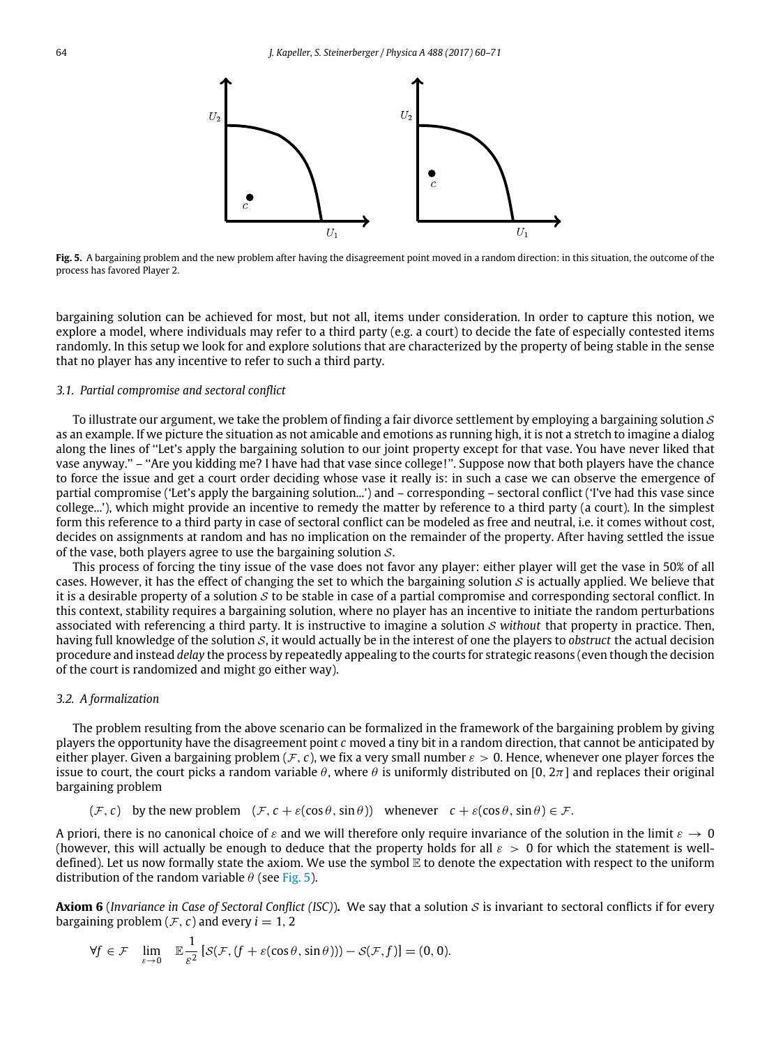<span id="page-4-0"></span>

**Fig. 5.** A bargaining problem and the new problem after having the disagreement point moved in a random direction: in this situation, the outcome of the process has favored Player 2.

bargaining solution can be achieved for most, but not all, items under consideration. In order to capture this notion, we explore a model, where individuals may refer to a third party (e.g. a court) to decide the fate of especially contested items randomly. In this setup we look for and explore solutions that are characterized by the property of being stable in the sense that no player has any incentive to refer to such a third party.

#### *3.1. Partial compromise and sectoral conflict*

To illustrate our argument, we take the problem of finding a fair divorce settlement by employing a bargaining solution  $S$ as an example. If we picture the situation as not amicable and emotions as running high, it is not a stretch to imagine a dialog along the lines of ''Let's apply the bargaining solution to our joint property except for that vase. You have never liked that vase anyway.'' – ''Are you kidding me? I have had that vase since college!''. Suppose now that both players have the chance to force the issue and get a court order deciding whose vase it really is: in such a case we can observe the emergence of partial compromise ('Let's apply the bargaining solution...') and – corresponding – sectoral conflict ('I've had this vase since college...'), which might provide an incentive to remedy the matter by reference to a third party (a court). In the simplest form this reference to a third party in case of sectoral conflict can be modeled as free and neutral, i.e. it comes without cost, decides on assignments at random and has no implication on the remainder of the property. After having settled the issue of the vase, both players agree to use the bargaining solution  $S$ .

This process of forcing the tiny issue of the vase does not favor any player: either player will get the vase in 50% of all cases. However, it has the effect of changing the set to which the bargaining solution S is actually applied. We believe that it is a desirable property of a solution S to be stable in case of a partial compromise and corresponding sectoral conflict. In this context, stability requires a bargaining solution, where no player has an incentive to initiate the random perturbations associated with referencing a third party. It is instructive to imagine a solution S *without* that property in practice. Then, having full knowledge of the solution  $S$ , it would actually be in the interest of one the players to *obstruct* the actual decision procedure and instead *delay* the process by repeatedly appealing to the courts for strategic reasons (even though the decision of the court is randomized and might go either way).

#### *3.2. A formalization*

The problem resulting from the above scenario can be formalized in the framework of the bargaining problem by giving players the opportunity have the disagreement point *c* moved a tiny bit in a random direction, that cannot be anticipated by either player. Given a bargaining problem (F, c), we fix a very small number  $\varepsilon > 0$ . Hence, whenever one player forces the issue to court, the court picks a random variable  $\theta$ , where  $\theta$  is uniformly distributed on [0,  $2\pi$ ] and replaces their original bargaining problem

$$
(\mathcal{F}, c)
$$
 by the new problem  $(\mathcal{F}, c + \varepsilon(\cos \theta, \sin \theta))$  whenever  $c + \varepsilon(\cos \theta, \sin \theta) \in \mathcal{F}$ .

A priori, there is no canonical choice of  $\varepsilon$  and we will therefore only require invariance of the solution in the limit  $\varepsilon \to 0$ (however, this will actually be enough to deduce that the property holds for all  $\varepsilon > 0$  for which the statement is welldefined). Let us now formally state the axiom. We use the symbol E to denote the expectation with respect to the uniform distribution of the random variable  $\theta$  (see [Fig. 5\)](#page-4-0).

<span id="page-4-1"></span>**Axiom 6** (*Invariance in Case of Sectoral Conflict (ISC)*). We say that a solution S is invariant to sectoral conflicts if for every bargaining problem  $(F, c)$  and every  $i = 1, 2$ 

$$
\forall f \in \mathcal{F} \quad \lim_{\varepsilon \to 0} \quad \mathbb{E} \frac{1}{\varepsilon^2} \left[ \mathcal{S}(\mathcal{F}, (f + \varepsilon(\cos \theta, \sin \theta))) - \mathcal{S}(\mathcal{F}, f) \right] = (0, 0).
$$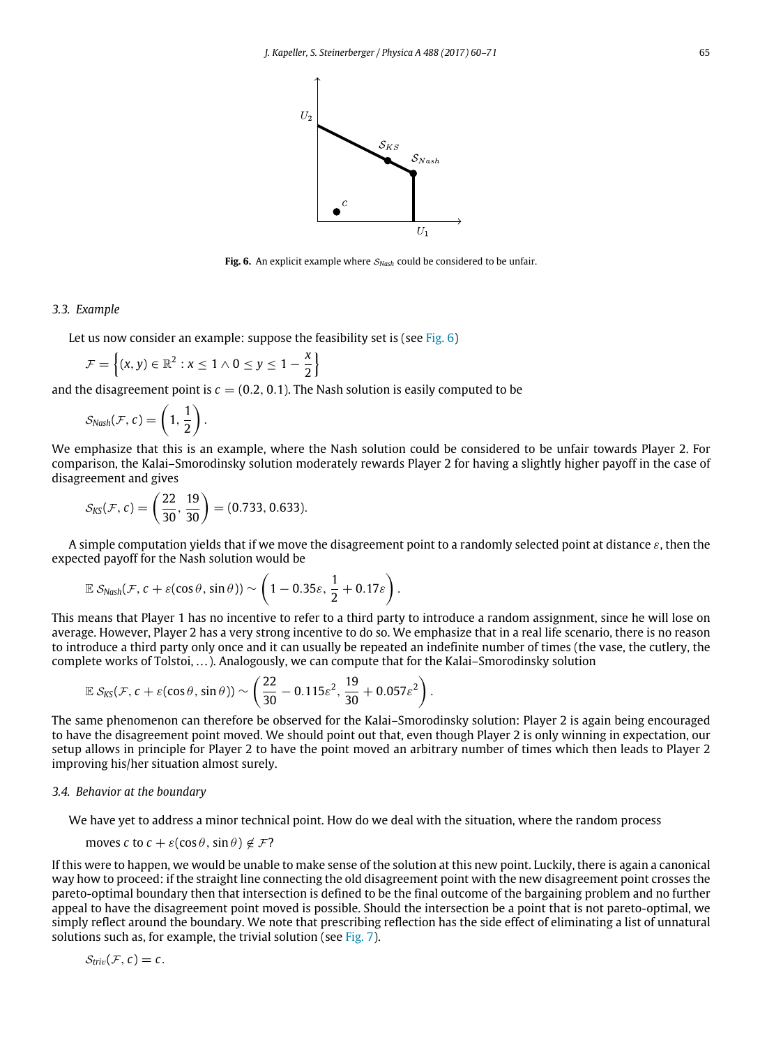

**Fig. 6.** An explicit example where S*Nash* could be considered to be unfair.

#### <span id="page-5-1"></span>*3.3. Example*

Let us now consider an example: suppose the feasibility set is (see [Fig. 6\)](#page-5-1)

$$
\mathcal{F} = \left\{ (x, y) \in \mathbb{R}^2 : x \leq 1 \wedge 0 \leq y \leq 1 - \frac{x}{2} \right\}
$$

and the disagreement point is  $c = (0.2, 0.1)$ . The Nash solution is easily computed to be

$$
S_{Nash}(\mathcal{F}, c) = \left(1, \frac{1}{2}\right).
$$

We emphasize that this is an example, where the Nash solution could be considered to be unfair towards Player 2. For comparison, the Kalai–Smorodinsky solution moderately rewards Player 2 for having a slightly higher payoff in the case of disagreement and gives

$$
S_{KS}(\mathcal{F}, c) = \left(\frac{22}{30}, \frac{19}{30}\right) = (0.733, 0.633).
$$

A simple computation yields that if we move the disagreement point to a randomly selected point at distance  $\varepsilon$ , then the expected payoff for the Nash solution would be

$$
\mathbb{E} \, \mathcal{S}_{Nash}(\mathcal{F}, c + \varepsilon(\cos\theta, \sin\theta)) \sim \left(1 - 0.35\varepsilon, \frac{1}{2} + 0.17\varepsilon\right).
$$

This means that Player 1 has no incentive to refer to a third party to introduce a random assignment, since he will lose on average. However, Player 2 has a very strong incentive to do so. We emphasize that in a real life scenario, there is no reason to introduce a third party only once and it can usually be repeated an indefinite number of times (the vase, the cutlery, the complete works of Tolstoi, . . . ). Analogously, we can compute that for the Kalai–Smorodinsky solution

$$
\mathbb{E} S_{\text{KS}}(\mathcal{F}, c + \varepsilon(\cos\theta, \sin\theta)) \sim \left(\frac{22}{30} - 0.115\epsilon^2, \frac{19}{30} + 0.057\epsilon^2\right).
$$

The same phenomenon can therefore be observed for the Kalai–Smorodinsky solution: Player 2 is again being encouraged to have the disagreement point moved. We should point out that, even though Player 2 is only winning in expectation, our setup allows in principle for Player 2 to have the point moved an arbitrary number of times which then leads to Player 2 improving his/her situation almost surely.

## *3.4. Behavior at the boundary*

We have yet to address a minor technical point. How do we deal with the situation, where the random process

moves *c* to  $c + \varepsilon(\cos \theta, \sin \theta) \notin \mathcal{F}$ ?

If this were to happen, we would be unable to make sense of the solution at this new point. Luckily, there is again a canonical way how to proceed: if the straight line connecting the old disagreement point with the new disagreement point crosses the pareto-optimal boundary then that intersection is defined to be the final outcome of the bargaining problem and no further appeal to have the disagreement point moved is possible. Should the intersection be a point that is not pareto-optimal, we simply reflect around the boundary. We note that prescribing reflection has the side effect of eliminating a list of unnatural solutions such as, for example, the trivial solution (see [Fig. 7\)](#page-6-0).

<span id="page-5-0"></span>
$$
\mathcal{S}_{triv}(\mathcal{F},c)=c.
$$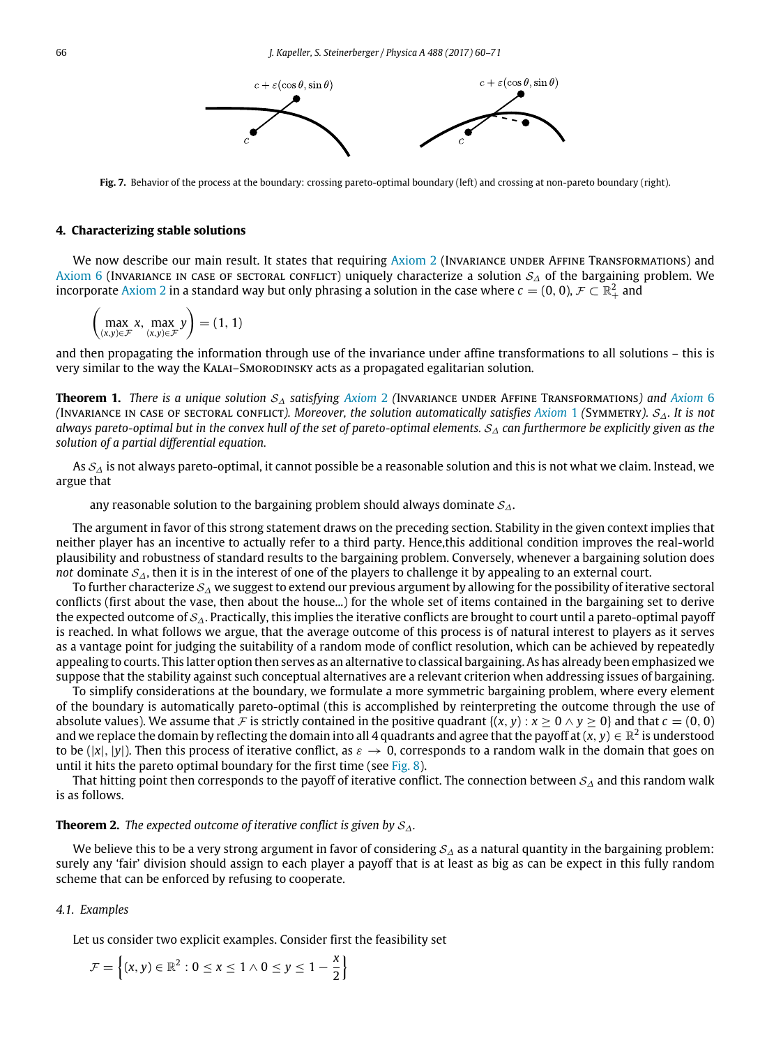

<span id="page-6-0"></span>**Fig. 7.** Behavior of the process at the boundary: crossing pareto-optimal boundary (left) and crossing at non-pareto boundary (right).

#### **4. Characterizing stable solutions**

We now describe our main result. It states that requiring [Axiom 2](#page-1-3) (INVARIANCE UNDER AFFINE TRANSFORMATIONS) and [Axiom 6](#page-4-1) (Invariance in case of sectoral conflict) uniquely characterize a solution  $S_\Delta$  of the bargaining problem. We incorporate [Axiom 2](#page-1-3) in a standard way but only phrasing a solution in the case where  $c=(0,0)$ ,  $\mathcal F\subset\mathbb R^2_+$  and

$$
\left(\max_{(x,y)\in\mathcal{F}} x, \max_{(x,y)\in\mathcal{F}} y\right) = (1, 1)
$$

and then propagating the information through use of the invariance under affine transformations to all solutions – this is very similar to the way the Kalai–Smorodinsky acts as a propagated egalitarian solution.

<span id="page-6-1"></span>**Theorem 1.** *There is a unique solution* S<sup>∆</sup> *satisfying [Axiom](#page-1-3)* 2 *(*Invariance under Affine Transformations*) and [Axiom](#page-4-1)* 6 *(*Invariance in case of sectoral conflict*). Moreover, the solution automatically satisfies [Axiom](#page-1-2)* 1 *(*Symmetry*).* S∆*. It is not always pareto-optimal but in the convex hull of the set of pareto-optimal elements.* S<sup>∆</sup> *can furthermore be explicitly given as the solution of a partial differential equation.*

As  $S_{\Delta}$  is not always pareto-optimal, it cannot possible be a reasonable solution and this is not what we claim. Instead, we argue that

any reasonable solution to the bargaining problem should always dominate  $S_{\Delta}$ .

The argument in favor of this strong statement draws on the preceding section. Stability in the given context implies that neither player has an incentive to actually refer to a third party. Hence,this additional condition improves the real-world plausibility and robustness of standard results to the bargaining problem. Conversely, whenever a bargaining solution does *not* dominate S<sub>△</sub>, then it is in the interest of one of the players to challenge it by appealing to an external court.

To further characterize  $S_\Delta$  we suggest to extend our previous argument by allowing for the possibility of iterative sectoral conflicts (first about the vase, then about the house...) for the whole set of items contained in the bargaining set to derive the expected outcome of  $S_A$ . Practically, this implies the iterative conflicts are brought to court until a pareto-optimal payoff is reached. In what follows we argue, that the average outcome of this process is of natural interest to players as it serves as a vantage point for judging the suitability of a random mode of conflict resolution, which can be achieved by repeatedly appealing to courts. This latter option then serves as an alternative to classical bargaining. As has already been emphasized we suppose that the stability against such conceptual alternatives are a relevant criterion when addressing issues of bargaining.

To simplify considerations at the boundary, we formulate a more symmetric bargaining problem, where every element of the boundary is automatically pareto-optimal (this is accomplished by reinterpreting the outcome through the use of absolute values). We assume that F is strictly contained in the positive quadrant  $\{(x, y) : x > 0 \land y > 0\}$  and that  $c = (0, 0)$ and we replace the domain by reflecting the domain into all 4 quadrants and agree that the payoff at  $(x,y)\in\mathbb{R}^2$  is understood to be  $(|x|, |y|)$ . Then this process of iterative conflict, as  $\varepsilon \to 0$ , corresponds to a random walk in the domain that goes on until it hits the pareto optimal boundary for the first time (see [Fig. 8\)](#page-7-1).

That hitting point then corresponds to the payoff of iterative conflict. The connection between  $S_\Delta$  and this random walk is as follows.

## <span id="page-6-2"></span>**Theorem 2.** *The expected outcome of iterative conflict is given by* S∆*.*

We believe this to be a very strong argument in favor of considering  $S_\Delta$  as a natural quantity in the bargaining problem: surely any 'fair' division should assign to each player a payoff that is at least as big as can be expect in this fully random scheme that can be enforced by refusing to cooperate.

## *4.1. Examples*

Let us consider two explicit examples. Consider first the feasibility set

$$
\mathcal{F} = \left\{ (x, y) \in \mathbb{R}^2 : 0 \le x \le 1 \land 0 \le y \le 1 - \frac{x}{2} \right\}
$$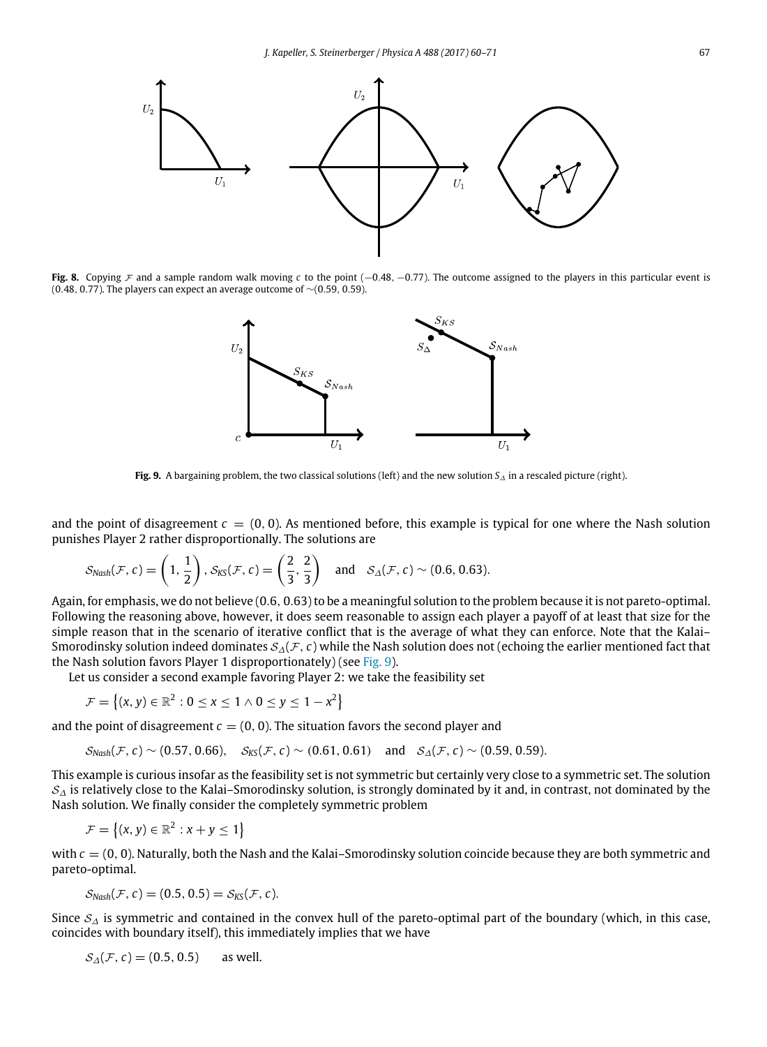<span id="page-7-1"></span>

<span id="page-7-2"></span>**Fig. 8.** Copying F and a sample random walk moving *c* to the point (−0.48, −0.77). The outcome assigned to the players in this particular event is (0.48, 0.77). The players can expect an average outcome of ∼(0.59, 0.59).



**Fig. 9.** A bargaining problem, the two classical solutions (left) and the new solution *S*<sup>∆</sup> in a rescaled picture (right).

and the point of disagreement  $c = (0, 0)$ . As mentioned before, this example is typical for one where the Nash solution punishes Player 2 rather disproportionally. The solutions are

$$
\mathcal{S}_{Nash}(\mathcal{F}, c) = \left(1, \frac{1}{2}\right), \mathcal{S}_{KS}(\mathcal{F}, c) = \left(\frac{2}{3}, \frac{2}{3}\right) \text{ and } \mathcal{S}_{\Delta}(\mathcal{F}, c) \sim (0.6, 0.63).
$$

Again, for emphasis, we do not believe (0.6, 0.63) to be a meaningful solution to the problem because it is not pareto-optimal. Following the reasoning above, however, it does seem reasonable to assign each player a payoff of at least that size for the simple reason that in the scenario of iterative conflict that is the average of what they can enforce. Note that the Kalai– Smorodinsky solution indeed dominates S∆(F, *c*) while the Nash solution does not (echoing the earlier mentioned fact that the Nash solution favors Player 1 disproportionately) (see [Fig. 9\)](#page-7-2).

Let us consider a second example favoring Player 2: we take the feasibility set

 $\mathcal{F} = \{(x, y) \in \mathbb{R}^2 : 0 \le x \le 1 \land 0 \le y \le 1 - x^2\}$ 

and the point of disagreement  $c = (0, 0)$ . The situation favors the second player and

$$
S_{Nash}(\mathcal{F}, c) \sim (0.57, 0.66), S_{KS}(\mathcal{F}, c) \sim (0.61, 0.61)
$$
 and  $S_{\Delta}(\mathcal{F}, c) \sim (0.59, 0.59)$ .

This example is curious insofar as the feasibility set is not symmetric but certainly very close to a symmetric set. The solution  $S_{\Lambda}$  is relatively close to the Kalai–Smorodinsky solution, is strongly dominated by it and, in contrast, not dominated by the Nash solution. We finally consider the completely symmetric problem

$$
\mathcal{F} = \left\{ (x, y) \in \mathbb{R}^2 : x + y \leq 1 \right\}
$$

with  $c = (0, 0)$ . Naturally, both the Nash and the Kalai–Smorodinsky solution coincide because they are both symmetric and pareto-optimal.

$$
\mathcal{S}_{Nash}(\mathcal{F}, c) = (0.5, 0.5) = \mathcal{S}_{KS}(\mathcal{F}, c).
$$

Since  $S_{\Delta}$  is symmetric and contained in the convex hull of the pareto-optimal part of the boundary (which, in this case, coincides with boundary itself), this immediately implies that we have

<span id="page-7-0"></span>
$$
S_{\Delta}(\mathcal{F}, c) = (0.5, 0.5) \quad \text{as well.}
$$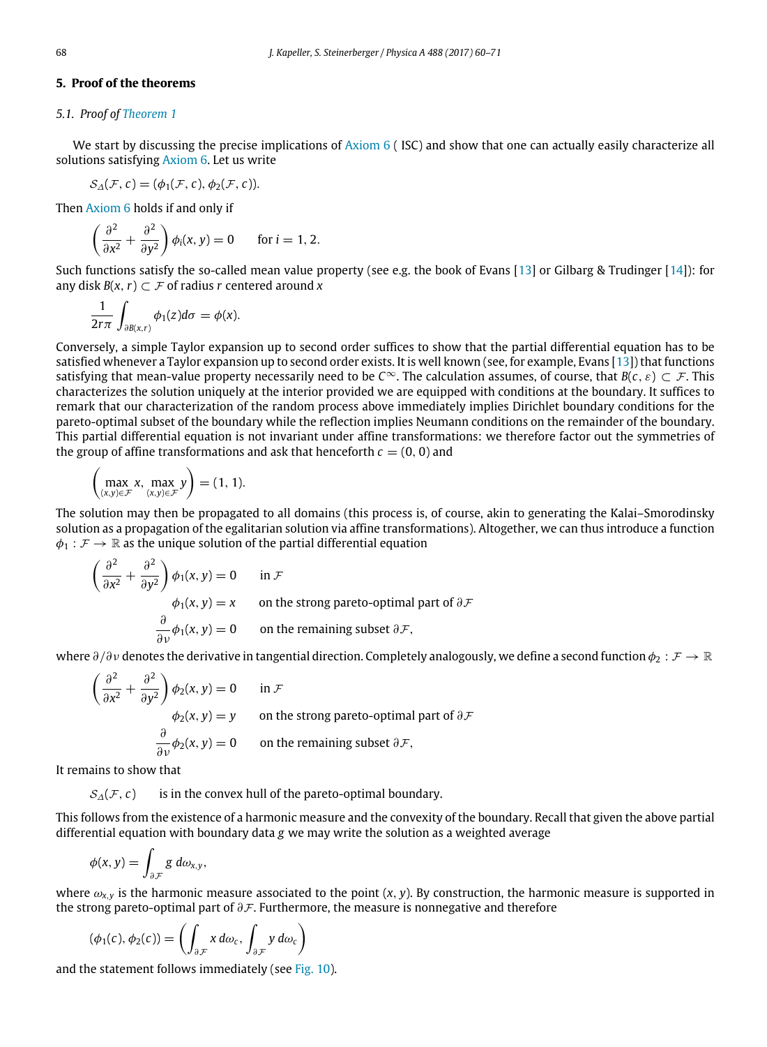## **5. Proof of the theorems**

#### *5.1. Proof of [Theorem 1](#page-6-1)*

We start by discussing the precise implications of  $Axiom 6$  (ISC) and show that one can actually easily characterize all solutions satisfying [Axiom 6.](#page-4-1) Let us write

$$
\mathcal{S}_{\Delta}(\mathcal{F}, c) = (\phi_1(\mathcal{F}, c), \phi_2(\mathcal{F}, c)).
$$

Then [Axiom 6](#page-4-1) holds if and only if

$$
\left(\frac{\partial^2}{\partial x^2} + \frac{\partial^2}{\partial y^2}\right) \phi_i(x, y) = 0 \quad \text{for } i = 1, 2.
$$

Such functions satisfy the so-called mean value property (see e.g. the book of Evans [\[13\]](#page-11-12) or Gilbarg & Trudinger [\[14\]](#page-11-13)): for any disk  $B(x, r) \subset F$  of radius *r* centered around *x* 

$$
\frac{1}{2r\pi}\int_{\partial B(x,r)}\phi_1(z)d\sigma=\phi(x).
$$

Conversely, a simple Taylor expansion up to second order suffices to show that the partial differential equation has to be satisfied whenever a Taylor expansion up to second order exists. It is well known (see, for example, Evans [\[13\]](#page-11-12)) that functions satisfying that mean-value property necessarily need to be  $C^\infty$ . The calculation assumes, of course, that  $B(c, \varepsilon) \subset \mathcal{F}$ . This characterizes the solution uniquely at the interior provided we are equipped with conditions at the boundary. It suffices to remark that our characterization of the random process above immediately implies Dirichlet boundary conditions for the pareto-optimal subset of the boundary while the reflection implies Neumann conditions on the remainder of the boundary. This partial differential equation is not invariant under affine transformations: we therefore factor out the symmetries of the group of affine transformations and ask that henceforth  $c = (0, 0)$  and

$$
\left(\max_{(x,y)\in\mathcal{F}}x,\max_{(x,y)\in\mathcal{F}}y\right)=(1,1).
$$

The solution may then be propagated to all domains (this process is, of course, akin to generating the Kalai–Smorodinsky solution as a propagation of the egalitarian solution via affine transformations). Altogether, we can thus introduce a function  $\phi_1 : \mathcal{F} \to \mathbb{R}$  as the unique solution of the partial differential equation

$$
\frac{\partial^2}{\partial x^2} + \frac{\partial^2}{\partial y^2} \bigg) \phi_1(x, y) = 0 \quad \text{in } \mathcal{F}
$$
  
\n
$$
\phi_1(x, y) = x \quad \text{on the strong pareto-optimal part of } \partial \mathcal{F}
$$
  
\n
$$
\frac{\partial}{\partial v} \phi_1(x, y) = 0 \quad \text{on the remaining subset } \partial \mathcal{F},
$$

where  $\partial/\partial v$  denotes the derivative in tangential direction. Completely analogously, we define a second function  $\phi_2 : \mathcal{F} \to \mathbb{R}$ 

$$
\left(\frac{\partial^2}{\partial x^2} + \frac{\partial^2}{\partial y^2}\right)\phi_2(x, y) = 0 \quad \text{in } \mathcal{F}
$$
  
\n
$$
\phi_2(x, y) = y \quad \text{on the strong pareto-optimal part of } \partial \mathcal{F}
$$
  
\n
$$
\frac{\partial}{\partial v}\phi_2(x, y) = 0 \quad \text{on the remaining subset } \partial \mathcal{F},
$$

It remains to show that

 $\sqrt{2}$ 

 $S_{\Delta}(\mathcal{F}, c)$  is in the convex hull of the pareto-optimal boundary.

This follows from the existence of a harmonic measure and the convexity of the boundary. Recall that given the above partial differential equation with boundary data *g* we may write the solution as a weighted average

$$
\phi(x,y)=\int_{\partial\mathcal{F}}g\ d\omega_{x,y},
$$

where  $\omega_{x,y}$  is the harmonic measure associated to the point  $(x, y)$ . By construction, the harmonic measure is supported in the strong pareto-optimal part of  $\partial \mathcal{F}$ . Furthermore, the measure is nonnegative and therefore

$$
(\phi_1(c), \phi_2(c)) = \left( \int_{\partial \mathcal{F}} x \, d\omega_c, \int_{\partial \mathcal{F}} y \, d\omega_c \right)
$$

and the statement follows immediately (see [Fig. 10\)](#page-9-1).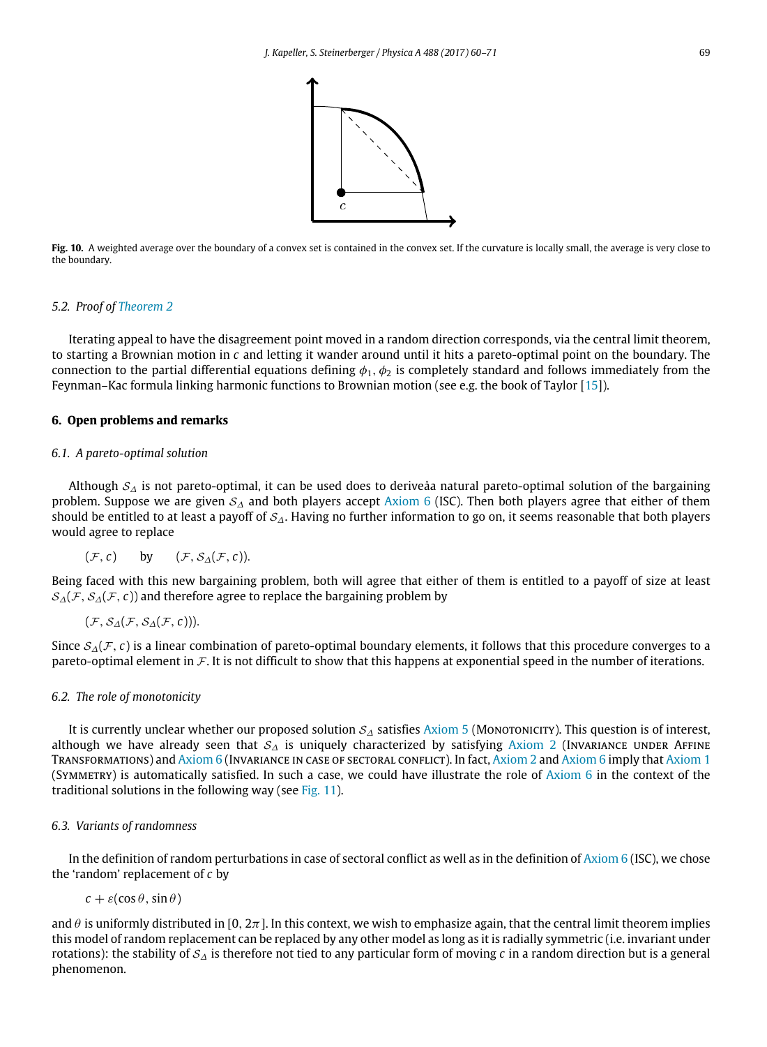

<span id="page-9-1"></span>**Fig. 10.** A weighted average over the boundary of a convex set is contained in the convex set. If the curvature is locally small, the average is very close to the boundary.

#### *5.2. Proof of [Theorem 2](#page-6-2)*

Iterating appeal to have the disagreement point moved in a random direction corresponds, via the central limit theorem, to starting a Brownian motion in *c* and letting it wander around until it hits a pareto-optimal point on the boundary. The connection to the partial differential equations defining  $\phi_1$ ,  $\phi_2$  is completely standard and follows immediately from the Feynman–Kac formula linking harmonic functions to Brownian motion (see e.g. the book of Taylor [\[15\]](#page-11-14)).

## <span id="page-9-0"></span>**6. Open problems and remarks**

## *6.1. A pareto-optimal solution*

Although  $S_\Lambda$  is not pareto-optimal, it can be used does to deriveåa natural pareto-optimal solution of the bargaining problem. Suppose we are given  $S_\Delta$  and both players accept [Axiom 6](#page-4-1) (ISC). Then both players agree that either of them should be entitled to at least a payoff of  $S_A$ . Having no further information to go on, it seems reasonable that both players would agree to replace

$$
(\mathcal{F}, c)
$$
 by  $(\mathcal{F}, \mathcal{S}_{\Delta}(\mathcal{F}, c))$ .

Being faced with this new bargaining problem, both will agree that either of them is entitled to a payoff of size at least  $S_{\Lambda}(\mathcal{F}, S_{\Lambda}(\mathcal{F}, c))$  and therefore agree to replace the bargaining problem by

$$
(\mathcal{F},\mathcal{S}_{\Delta}(\mathcal{F},\mathcal{S}_{\Delta}(\mathcal{F},c))).
$$

Since S∆(F, *c*) is a linear combination of pareto-optimal boundary elements, it follows that this procedure converges to a pareto-optimal element in F. It is not difficult to show that this happens at exponential speed in the number of iterations.

#### *6.2. The role of monotonicity*

It is currently unclear whether our proposed solution  $S_\Delta$  satisfies [Axiom 5](#page-3-2) (Monotonicity). This question is of interest, although we have already seen that  $S_A$  is uniquely characterized by satisfying [Axiom 2](#page-1-3) (Invariance under Affine TRANSFORMATIONS) and [Axiom 6](#page-4-1) (INVARIANCE IN CASE OF SECTORAL CONFLICT). In fact, [Axiom 2](#page-1-3) and Axiom 6 imply that [Axiom 1](#page-1-2) (SYMMETRY) is automatically satisfied. In such a case, we could have illustrate the role of  $Axiom 6$  in the context of the traditional solutions in the following way (see [Fig. 11\)](#page-10-0).

### *6.3. Variants of randomness*

In the definition of random perturbations in case of sectoral conflict as well as in the definition of  $Axiom 6$  (ISC), we chose the 'random' replacement of *c* by

$$
c + \varepsilon(\cos\theta, \sin\theta)
$$

and  $\theta$  is uniformly distributed in [0, 2 $\pi$ ]. In this context, we wish to emphasize again, that the central limit theorem implies this model of random replacement can be replaced by any other model as long as it is radially symmetric (i.e. invariant under rotations): the stability of S<sup>∆</sup> is therefore not tied to any particular form of moving *c* in a random direction but is a general phenomenon.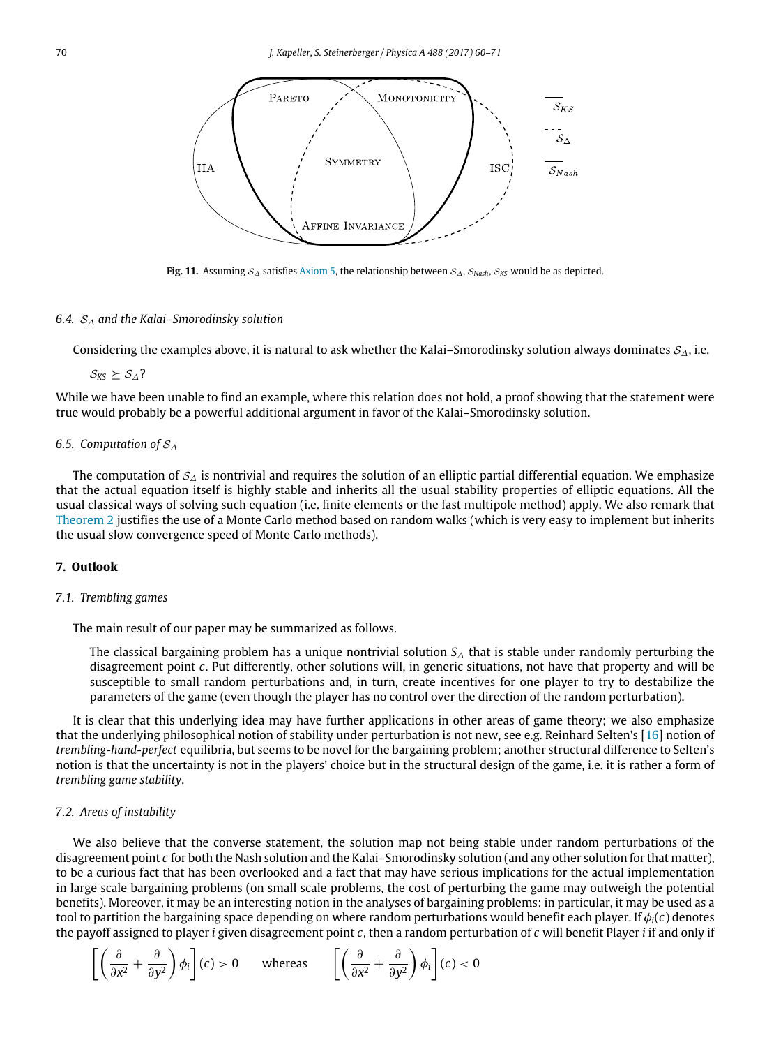<span id="page-10-0"></span>

**Fig. 11.** Assuming S<sup>∆</sup> satisfies [Axiom 5,](#page-3-2) the relationship between S∆, S*Nash*, S*KS* would be as depicted.

#### *6.4.* S<sup>∆</sup> *and the Kalai–Smorodinsky solution*

Considering the examples above, it is natural to ask whether the Kalai–Smorodinsky solution always dominates  $S_\Lambda$ , i.e.

 $S_{KS}$  ≻  $S_A$ ?

While we have been unable to find an example, where this relation does not hold, a proof showing that the statement were true would probably be a powerful additional argument in favor of the Kalai–Smorodinsky solution.

#### *6.5. Computation of* S<sup>∆</sup>

The computation of  $S_\Delta$  is nontrivial and requires the solution of an elliptic partial differential equation. We emphasize that the actual equation itself is highly stable and inherits all the usual stability properties of elliptic equations. All the usual classical ways of solving such equation (i.e. finite elements or the fast multipole method) apply. We also remark that [Theorem 2](#page-6-2) justifies the use of a Monte Carlo method based on random walks (which is very easy to implement but inherits the usual slow convergence speed of Monte Carlo methods).

# **7. Outlook**

# *7.1. Trembling games*

The main result of our paper may be summarized as follows.

The classical bargaining problem has a unique nontrivial solution *S*<sup>∆</sup> that is stable under randomly perturbing the disagreement point *c*. Put differently, other solutions will, in generic situations, not have that property and will be susceptible to small random perturbations and, in turn, create incentives for one player to try to destabilize the parameters of the game (even though the player has no control over the direction of the random perturbation).

It is clear that this underlying idea may have further applications in other areas of game theory; we also emphasize that the underlying philosophical notion of stability under perturbation is not new, see e.g. Reinhard Selten's [\[16\]](#page-11-15) notion of *trembling-hand-perfect* equilibria, but seems to be novel for the bargaining problem; another structural difference to Selten's notion is that the uncertainty is not in the players' choice but in the structural design of the game, i.e. it is rather a form of *trembling game stability*.

### *7.2. Areas of instability*

We also believe that the converse statement, the solution map not being stable under random perturbations of the disagreement point *c* for both the Nash solution and the Kalai–Smorodinsky solution (and any other solution for that matter), to be a curious fact that has been overlooked and a fact that may have serious implications for the actual implementation in large scale bargaining problems (on small scale problems, the cost of perturbing the game may outweigh the potential benefits). Moreover, it may be an interesting notion in the analyses of bargaining problems: in particular, it may be used as a tool to partition the bargaining space depending on where random perturbations would benefit each player. If  $\phi_i(c)$  denotes the payoff assigned to player *i* given disagreement point *c*, then a random perturbation of *c* will benefit Player *i* if and only if

$$
\left[ \left( \frac{\partial}{\partial x^2} + \frac{\partial}{\partial y^2} \right) \phi_i \right] (c) > 0 \quad \text{whereas} \quad \left[ \left( \frac{\partial}{\partial x^2} + \frac{\partial}{\partial y^2} \right) \phi_i \right] (c) < 0
$$